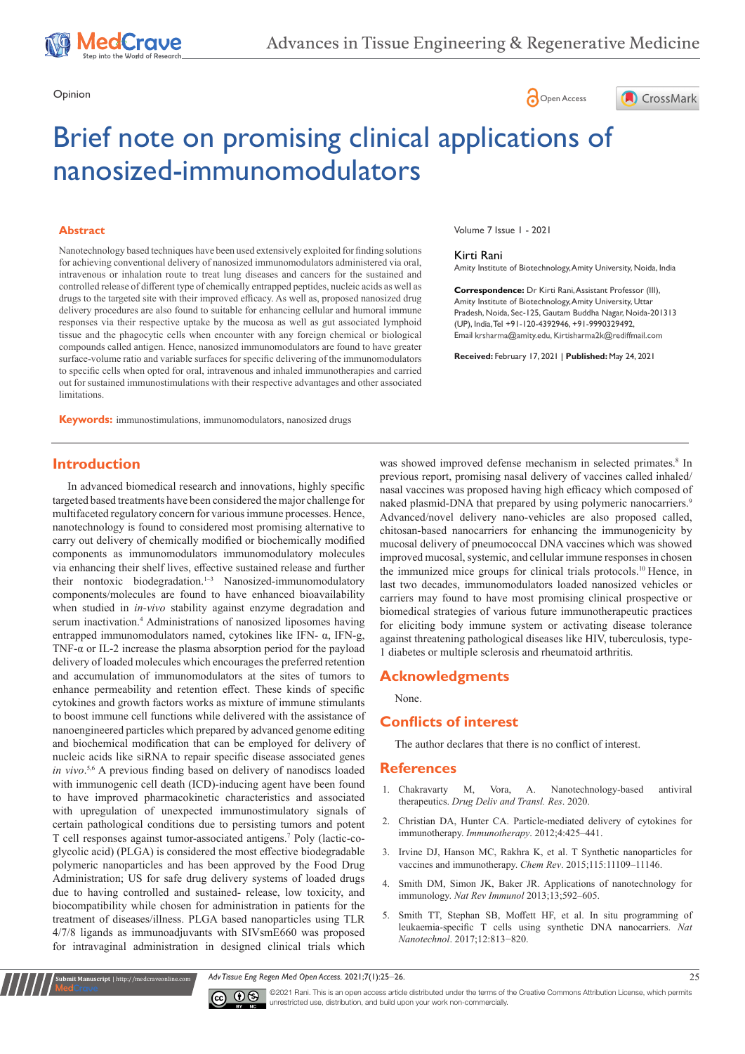





# Brief note on promising clinical applications of nanosized-immunomodulators

### **Abstract**

Nanotechnology based techniques have been used extensively exploited for finding solutions for achieving conventional delivery of nanosized immunomodulators administered via oral, intravenous or inhalation route to treat lung diseases and cancers for the sustained and controlled release of different type of chemically entrapped peptides, nucleic acids as well as drugs to the targeted site with their improved efficacy. As well as, proposed nanosized drug delivery procedures are also found to suitable for enhancing cellular and humoral immune responses via their respective uptake by the mucosa as well as gut associated lymphoid tissue and the phagocytic cells when encounter with any foreign chemical or biological compounds called antigen. Hence, nanosized immunomodulators are found to have greater surface-volume ratio and variable surfaces for specific delivering of the immunomodulators to specific cells when opted for oral, intravenous and inhaled immunotherapies and carried out for sustained immunostimulations with their respective advantages and other associated **limitations** 

**Keywords:** immunostimulations, immunomodulators, nanosized drugs

Volume 7 Issue 1 - 2021

#### Kirti Rani

Amity Institute of Biotechnology, Amity University, Noida, India

**Correspondence:** Dr Kirti Rani, Assistant Professor (III), Amity Institute of Biotechnology, Amity University, Uttar Pradesh, Noida, Sec-125, Gautam Buddha Nagar, Noida-201313 (UP), India, Tel +91-120-4392946, +91-9990329492, Email krsharma@amity.edu, Kirtisharma2k@rediffmail.com

**Received:** February 17, 2021 | **Published:** May 24, 2021

# **Introduction**

In advanced biomedical research and innovations, highly specific targeted based treatments have been considered the major challenge for multifaceted regulatory concern for various immune processes. Hence, nanotechnology is found to considered most promising alternative to carry out delivery of chemically modified or biochemically modified components as immunomodulators immunomodulatory molecules via enhancing their shelf lives, effective sustained release and further their nontoxic biodegradation.<sup>1-3</sup> Nanosized-immunomodulatory components/molecules are found to have enhanced bioavailability when studied in *in-vivo* stability against enzyme degradation and serum inactivation.<sup>4</sup> Administrations of nanosized liposomes having entrapped immunomodulators named, cytokines like IFN- α, IFN-g, TNF-α or IL-2 increase the plasma absorption period for the payload delivery of loaded molecules which encourages the preferred retention and accumulation of immunomodulators at the sites of tumors to enhance permeability and retention effect. These kinds of specific cytokines and growth factors works as mixture of immune stimulants to boost immune cell functions while delivered with the assistance of nanoengineered particles which prepared by advanced genome editing and biochemical modification that can be employed for delivery of nucleic acids like siRNA to repair specific disease associated genes *in vivo*. 5,6 A previous finding based on delivery of nanodiscs loaded with immunogenic cell death (ICD)-inducing agent have been found to have improved pharmacokinetic characteristics and associated with upregulation of unexpected immunostimulatory signals of certain pathological conditions due to persisting tumors and potent T cell responses against tumor-associated antigens.7 Poly (lactic-coglycolic acid) (PLGA) is considered the most effective biodegradable polymeric nanoparticles and has been approved by the Food Drug Administration; US for safe drug delivery systems of loaded drugs due to having controlled and sustained- release, low toxicity, and biocompatibility while chosen for administration in patients for the treatment of diseases/illness. PLGA based nanoparticles using TLR 4/7/8 ligands as immunoadjuvants with SIVsmE660 was proposed for intravaginal administration in designed clinical trials which

was showed improved defense mechanism in selected primates.<sup>8</sup> In previous report, promising nasal delivery of vaccines called inhaled/ nasal vaccines was proposed having high efficacy which composed of naked plasmid-DNA that prepared by using polymeric nanocarriers.<sup>9</sup> Advanced/novel delivery nano-vehicles are also proposed called, chitosan-based nanocarriers for enhancing the immunogenicity by mucosal delivery of pneumococcal DNA vaccines which was showed improved mucosal, systemic, and cellular immune responses in chosen the immunized mice groups for clinical trials protocols.10 Hence, in last two decades, immunomodulators loaded nanosized vehicles or carriers may found to have most promising clinical prospective or biomedical strategies of various future immunotherapeutic practices for eliciting body immune system or activating disease tolerance against threatening pathological diseases like HIV, tuberculosis, type-1 diabetes or multiple sclerosis and rheumatoid arthritis.

## **Acknowledgments**

None.

# **Conflicts of interest**

The author declares that there is no conflict of interest.

### **References**

- 1. [Chakravarty M, Vora, A. Nanotechnology-based antiviral](https://link.springer.com/article/10.1007/s13346-020-00818-0)  therapeutics. *[Drug Deliv and Transl. Res](https://link.springer.com/article/10.1007/s13346-020-00818-0)*. 2020.
- 2. [Christian DA, Hunter CA. Particle-mediated delivery of cytokines for](https://pubmed.ncbi.nlm.nih.gov/22512636/)  immunotherapy. *Immunotherapy*[. 2012;4:425–441.](https://pubmed.ncbi.nlm.nih.gov/22512636/)
- 3. [Irvine DJ, Hanson MC, Rakhra K, et al. T Synthetic nanoparticles for](https://pubmed.ncbi.nlm.nih.gov/26154342/)  [vaccines and immunotherapy.](https://pubmed.ncbi.nlm.nih.gov/26154342/) *Chem Rev*. 2015;115:11109–11146.
- 4. [Smith DM, Simon JK, Baker JR. Applications of nanotechnology for](https://pubmed.ncbi.nlm.nih.gov/23883969/)  immunology. *Nat Rev Immunol* [2013;13;592–605.](https://pubmed.ncbi.nlm.nih.gov/23883969/)
- 5. [Smith TT, Stephan SB, Moffett HF, et al. In situ programming of](https://www.nature.com/articles/nnano.2017.57)  [leukaemia-specific T cells using synthetic DNA nanocarriers.](https://www.nature.com/articles/nnano.2017.57) *Nat Nanotechnol*[. 2017;12:813−820.](https://www.nature.com/articles/nnano.2017.57)





**it Manuscript** | http://medcraveonline.c

©2021 Rani. This is an open access article distributed under the terms of the [Creative Commons Attribution License,](https://creativecommons.org/licenses/by-nc/4.0/) which permits unrestricted use, distribution, and build upon your work non-commercially.